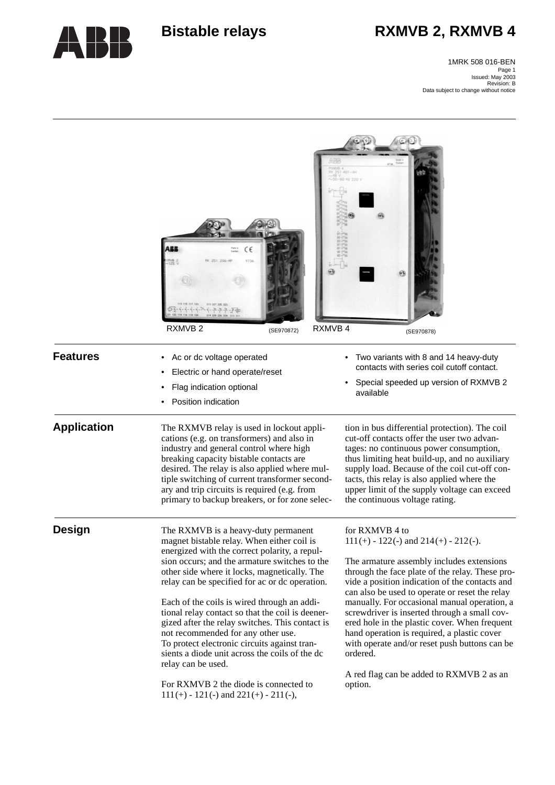# Bistable relays **RXMVB 2, RXMVB 4**



Page 1 Issued: May 2003 Revision: B Data subject to change without notice1MRK 508 016-BEN

|                    | CE<br>RXMVB 4<br>RXMVB <sub>2</sub><br>(SE970872)                                                                                                                                                                                                                                                                                                                                                                                                                                                                                                                                                                                                                                               | $401 - AH$<br>(SE970878)                                                                                                                                                                                                                                                                                                                                                                                                                                                                                                                                                                |
|--------------------|-------------------------------------------------------------------------------------------------------------------------------------------------------------------------------------------------------------------------------------------------------------------------------------------------------------------------------------------------------------------------------------------------------------------------------------------------------------------------------------------------------------------------------------------------------------------------------------------------------------------------------------------------------------------------------------------------|-----------------------------------------------------------------------------------------------------------------------------------------------------------------------------------------------------------------------------------------------------------------------------------------------------------------------------------------------------------------------------------------------------------------------------------------------------------------------------------------------------------------------------------------------------------------------------------------|
| <b>Features</b>    | Ac or dc voltage operated<br>Electric or hand operate/reset<br>Flag indication optional<br>Position indication                                                                                                                                                                                                                                                                                                                                                                                                                                                                                                                                                                                  | Two variants with 8 and 14 heavy-duty<br>contacts with series coil cutoff contact.<br>Special speeded up version of RXMVB 2<br>available                                                                                                                                                                                                                                                                                                                                                                                                                                                |
| <b>Application</b> | The RXMVB relay is used in lockout appli-<br>cations (e.g. on transformers) and also in<br>industry and general control where high<br>breaking capacity bistable contacts are<br>desired. The relay is also applied where mul-<br>tiple switching of current transformer second-<br>ary and trip circuits is required (e.g. from<br>primary to backup breakers, or for zone selec-                                                                                                                                                                                                                                                                                                              | tion in bus differential protection). The coil<br>cut-off contacts offer the user two advan-<br>tages: no continuous power consumption,<br>thus limiting heat build-up, and no auxiliary<br>supply load. Because of the coil cut-off con-<br>tacts, this relay is also applied where the<br>upper limit of the supply voltage can exceed<br>the continuous voltage rating.                                                                                                                                                                                                              |
| <b>Design</b>      | The RXMVB is a heavy-duty permanent<br>magnet bistable relay. When either coil is<br>energized with the correct polarity, a repul-<br>sion occurs; and the armature switches to the<br>other side where it locks, magnetically. The<br>relay can be specified for ac or dc operation.<br>Each of the coils is wired through an addi-<br>tional relay contact so that the coil is deener-<br>gized after the relay switches. This contact is<br>not recommended for any other use.<br>To protect electronic circuits against tran-<br>sients a diode unit across the coils of the dc<br>relay can be used.<br>For RXMVB 2 the diode is connected to<br>$111(+) - 121(-)$ and $221(+) - 211(-)$ , | for RXMVB 4 to<br>$111 (+) - 122 (-)$ and $214 (+) - 212 (-)$ .<br>The armature assembly includes extensions<br>through the face plate of the relay. These pro-<br>vide a position indication of the contacts and<br>can also be used to operate or reset the relay<br>manually. For occasional manual operation, a<br>screwdriver is inserted through a small cov-<br>ered hole in the plastic cover. When frequent<br>hand operation is required, a plastic cover<br>with operate and/or reset push buttons can be<br>ordered.<br>A red flag can be added to RXMVB 2 as an<br>option. |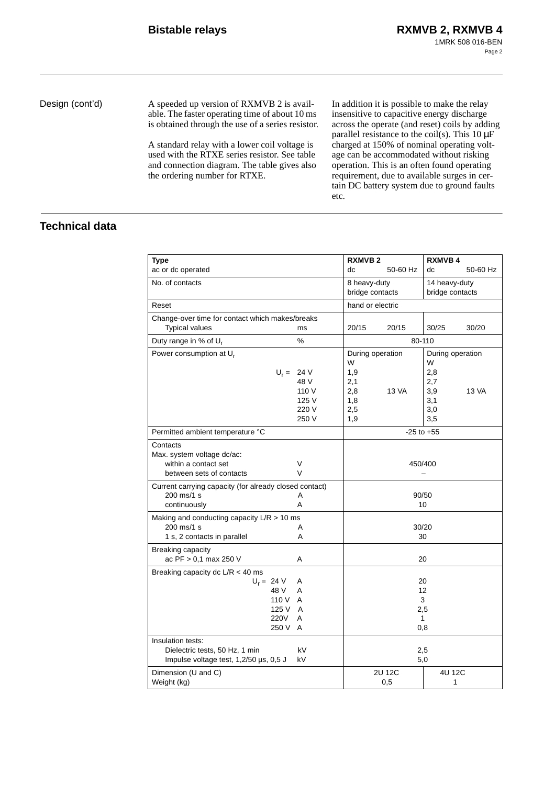Design (cont'd) A speeded up version of RXMVB 2 is available. The faster operating time of about 10 ms is obtained through the use of a series resistor.

> A standard relay with a lower coil voltage is used with the RTXE series resistor. See table and connection diagram. The table gives also the ordering number for RTXE.

In addition it is possible to make the relay insensitive to capacitive energy discharge across the operate (and reset) coils by adding parallel resistance to the coil(s). This  $10 \mu$ F charged at 150% of nominal operating voltage can be accommodated without risking operation. This is an often found operating requirement, due to available surges in certain DC battery system due to ground faults etc.

# **Technical data**

| <b>Type</b>                                            |                | <b>RXMVB2</b>    |              | <b>RXMVB4</b>       |          |
|--------------------------------------------------------|----------------|------------------|--------------|---------------------|----------|
| ac or dc operated                                      |                | dc               | 50-60 Hz     | dc                  | 50-60 Hz |
| No. of contacts                                        |                | 8 heavy-duty     |              | 14 heavy-duty       |          |
|                                                        |                | bridge contacts  |              | bridge contacts     |          |
| Reset                                                  |                | hand or electric |              |                     |          |
| Change-over time for contact which makes/breaks        |                |                  |              |                     |          |
| <b>Typical values</b>                                  | ms             | 20/15            | 20/15        | 30/25               | 30/20    |
| Duty range in % of $U_r$                               | %              |                  |              | 80-110              |          |
| Power consumption at U <sub>r</sub>                    |                | During operation |              | During operation    |          |
|                                                        |                | W                |              | W                   |          |
|                                                        | $U_r = 24 V$   | 1,9              |              | 2,8                 |          |
|                                                        | 48 V           | 2,1              |              | 2,7                 |          |
|                                                        | 110 V          | 2,8              | <b>13 VA</b> | 3,9                 | 13 VA    |
|                                                        | 125 V<br>220 V | 1,8<br>2,5       |              | 3,1<br>3,0          |          |
|                                                        | 250 V          | 1,9              |              | 3,5                 |          |
| Permitted ambient temperature °C                       |                |                  |              | $-25$ to $+55$      |          |
| Contacts                                               |                |                  |              |                     |          |
| Max. system voltage dc/ac:                             |                |                  |              |                     |          |
| within a contact set                                   | V              |                  |              | 450/400             |          |
| between sets of contacts                               | $\vee$         |                  |              |                     |          |
| Current carrying capacity (for already closed contact) |                |                  |              |                     |          |
| 200 ms/1 s                                             | A              |                  |              | 90/50               |          |
| continuously                                           | A              |                  |              | 10                  |          |
| Making and conducting capacity $L/R > 10$ ms           |                |                  |              |                     |          |
| 200 ms/1 s                                             | A              |                  |              | 30/20               |          |
| 1 s, 2 contacts in parallel                            | A              |                  |              | 30                  |          |
| Breaking capacity                                      |                |                  |              |                     |          |
| ac PF > 0,1 max 250 V<br>A                             |                | 20               |              |                     |          |
| Breaking capacity dc $L/R < 40$ ms                     |                |                  |              |                     |          |
| $U_r = 24 V$                                           | Α              |                  |              | 20                  |          |
| 48 V                                                   | A              |                  |              | 12                  |          |
| 110 V<br>125 V                                         | A<br>A         |                  |              | 3                   |          |
| 220V                                                   | A              |                  |              | 2,5<br>$\mathbf{1}$ |          |
| 250 V                                                  | A              |                  |              | 0,8                 |          |
| Insulation tests:                                      |                |                  |              |                     |          |
| Dielectric tests, 50 Hz, 1 min<br>kV                   |                |                  |              | 2,5                 |          |
| Impulse voltage test, 1,2/50 µs, 0,5 J                 | kV             |                  |              | 5,0                 |          |
| Dimension (U and C)                                    |                |                  | 2U 12C       | 4U 12C              |          |
| Weight (kg)                                            |                |                  | 0,5          | 1                   |          |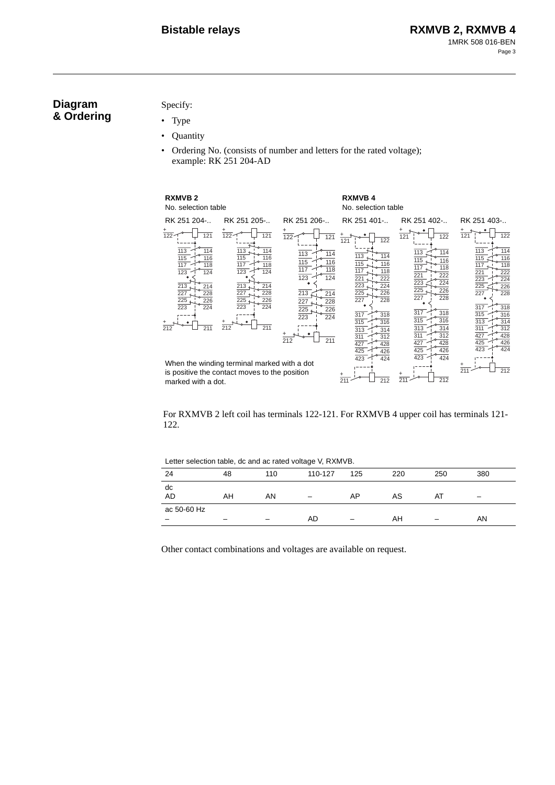# **Diagram & Ordering**

Specify:

- Type
- Quantity
- Ordering No. (consists of number and letters for the rated voltage); example: RK 251 204-AD

| <b>RXMVB2</b><br>No. selection table                                                                                                                                          |                                                                                                                                                                                     |                                                                                                                                                                                                         | <b>RXMVB4</b><br>No. selection table                                                                                                                                                                                 |                                                                                                                                                                                                                             |                                                                                                                                                                                                                             |
|-------------------------------------------------------------------------------------------------------------------------------------------------------------------------------|-------------------------------------------------------------------------------------------------------------------------------------------------------------------------------------|---------------------------------------------------------------------------------------------------------------------------------------------------------------------------------------------------------|----------------------------------------------------------------------------------------------------------------------------------------------------------------------------------------------------------------------|-----------------------------------------------------------------------------------------------------------------------------------------------------------------------------------------------------------------------------|-----------------------------------------------------------------------------------------------------------------------------------------------------------------------------------------------------------------------------|
| RK 251 204-                                                                                                                                                                   | RK 251 205-                                                                                                                                                                         | RK 251 206-                                                                                                                                                                                             | RK 251 401-                                                                                                                                                                                                          | RK 251 402-                                                                                                                                                                                                                 | RK 251 403-                                                                                                                                                                                                                 |
| $\frac{+}{122}$<br>$\overline{121}$<br>113<br>114<br>115<br>116<br>117<br>118<br>123<br>124<br>213<br>214<br>227<br>228<br>225<br>226<br>223<br>224<br>$\frac{+}{212}$<br>211 | $\overline{122}$<br>121<br>$113 -$<br>114<br>115<br>116<br>117<br>118<br>123<br>124<br>213.<br>214<br>227<br>228<br>225<br>226<br>223<br>224<br>$\frac{1}{212}$<br>$\overline{211}$ | $\frac{1}{22}$<br>121<br>113<br>114<br>115<br>116<br>117<br>118<br>123<br>124<br>213<br>214<br>227<br>228<br>$\overline{225}$<br>226<br>$\overline{223}$<br>224<br>$\overline{212}$<br>$\overline{211}$ | $\overline{122}$<br>121<br>113<br>114<br>115<br>116<br>117<br>118<br>221<br>222<br>223<br>224<br>225<br>226<br>227<br>228<br>317<br>318<br>315<br>316<br>313<br>314<br>311<br>312<br>427<br>428<br>425<br>426<br>424 | 121<br>$\overline{122}$<br>113<br>114<br>115<br>116<br>117<br>118<br>221<br>222<br>224<br>223<br>225<br>226<br>227<br>228<br>317<br>318<br>315<br>316<br>313<br>314<br>311<br>312<br>427<br>428<br>425<br>426<br>423<br>424 | $\overline{122}$<br>121<br>113<br>114<br>116<br>115<br>117<br>118<br>222<br>221<br>223<br>224<br>225<br>226<br>227<br>228<br>317<br>318<br>315<br>316<br>313<br>314<br>311<br>312<br>427<br>428<br>425<br>426<br>424<br>423 |
| marked with a dot.                                                                                                                                                            | When the winding terminal marked with a dot<br>is positive the contact moves to the position                                                                                        |                                                                                                                                                                                                         | 423<br>$\overline{211}$<br>212                                                                                                                                                                                       | $\overline{211}$<br>212                                                                                                                                                                                                     | $\frac{1}{211}$<br>212                                                                                                                                                                                                      |

For RXMVB 2 left coil has terminals 122-121. For RXMVB 4 upper coil has terminals 121- 122.

| Letter selection table, ac and ac rated voltage v, RAMVD. |    |     |                          |     |     |     |     |
|-----------------------------------------------------------|----|-----|--------------------------|-----|-----|-----|-----|
| 24                                                        | 48 | 110 | 110-127                  | 125 | 220 | 250 | 380 |
| dc<br><b>AD</b>                                           | AH | AN  | $\overline{\phantom{m}}$ | AP  | AS  | AT  |     |
| ac 50-60 Hz                                               |    |     | AD                       |     | AH  |     | AN  |

Letter selection table, dc and ac rated voltage V, RXMVB.

Other contact combinations and voltages are available on request.